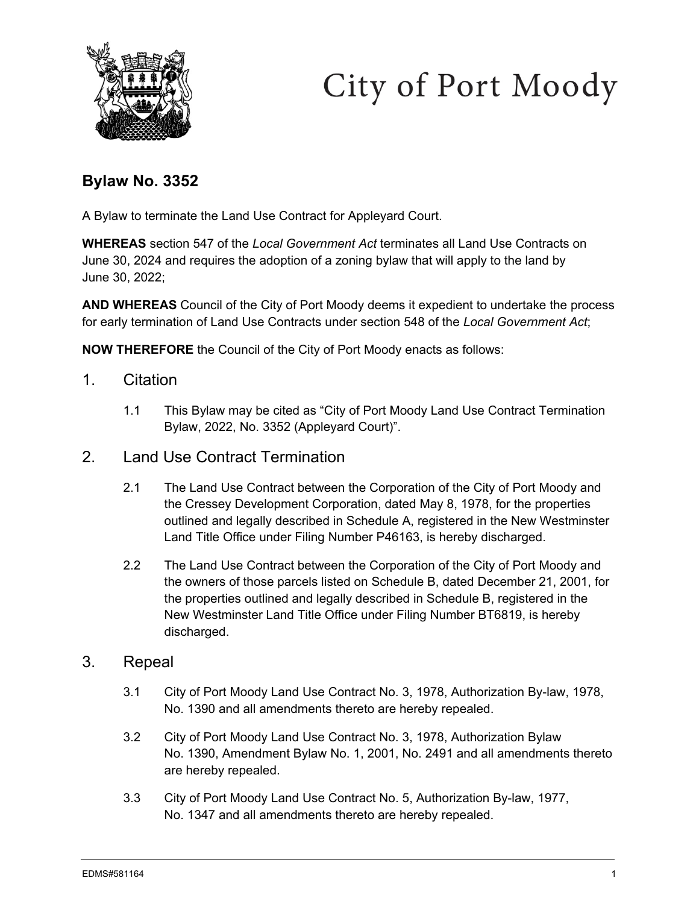



# **Bylaw No. 3352**

A Bylaw to terminate the Land Use Contract for Appleyard Court.

**WHEREAS** section 547 of the *Local Government Act* terminates all Land Use Contracts on June 30, 2024 and requires the adoption of a zoning bylaw that will apply to the land by June 30, 2022;

**AND WHEREAS** Council of the City of Port Moody deems it expedient to undertake the process for early termination of Land Use Contracts under section 548 of the *Local Government Act*;

**NOW THEREFORE** the Council of the City of Port Moody enacts as follows:

- 1. Citation
	- 1.1 This Bylaw may be cited as "City of Port Moody Land Use Contract Termination Bylaw, 2022, No. 3352 (Appleyard Court)".
- 2. Land Use Contract Termination
	- 2.1 The Land Use Contract between the Corporation of the City of Port Moody and the Cressey Development Corporation, dated May 8, 1978, for the properties outlined and legally described in Schedule A, registered in the New Westminster Land Title Office under Filing Number P46163, is hereby discharged.
	- 2.2 The Land Use Contract between the Corporation of the City of Port Moody and the owners of those parcels listed on Schedule B, dated December 21, 2001, for the properties outlined and legally described in Schedule B, registered in the New Westminster Land Title Office under Filing Number BT6819, is hereby discharged.

#### 3. Repeal

- 3.1 City of Port Moody Land Use Contract No. 3, 1978, Authorization By-law, 1978, No. 1390 and all amendments thereto are hereby repealed.
- 3.2 City of Port Moody Land Use Contract No. 3, 1978, Authorization Bylaw No. 1390, Amendment Bylaw No. 1, 2001, No. 2491 and all amendments thereto are hereby repealed.
- 3.3 City of Port Moody Land Use Contract No. 5, Authorization By-law, 1977, No. 1347 and all amendments thereto are hereby repealed.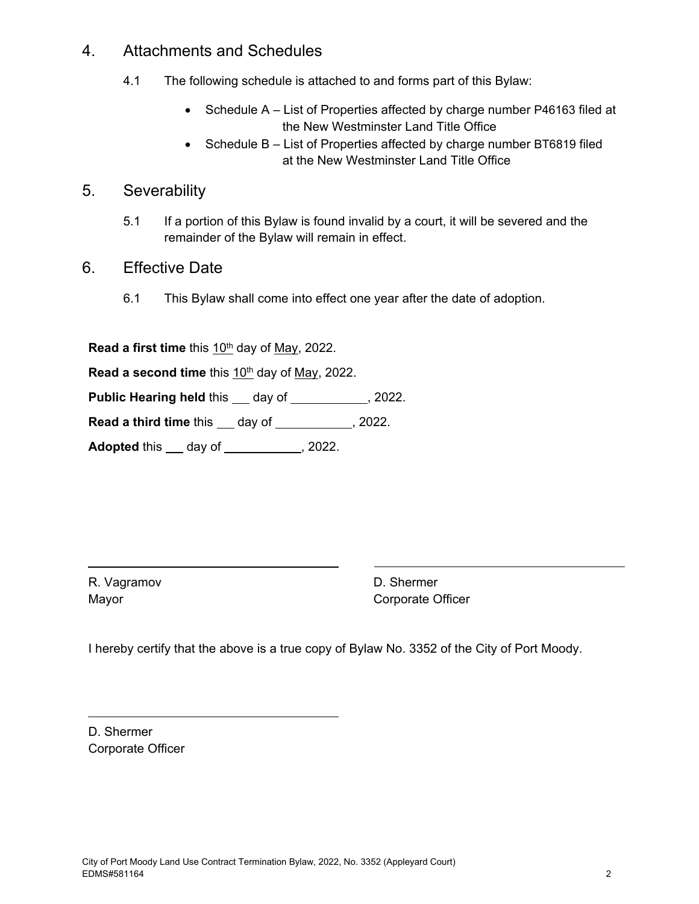### 4. Attachments and Schedules

- 4.1 The following schedule is attached to and forms part of this Bylaw:
	- Schedule A List of Properties affected by charge number P46163 filed at the New Westminster Land Title Office
	- Schedule B List of Properties affected by charge number BT6819 filed at the New Westminster Land Title Office

## 5. Severability

- 5.1 If a portion of this Bylaw is found invalid by a court, it will be severed and the remainder of the Bylaw will remain in effect.
- 6. Effective Date
	- 6.1 This Bylaw shall come into effect one year after the date of adoption.

Read a first time this 10<sup>th</sup> day of May, 2022.

**Read a second time** this 10<sup>th</sup> day of May, 2022.

**Public Hearing held this \_\_ day of \_\_\_\_\_\_\_\_\_, 2022.** 

**Read a third time** this day of 12022.

**Adopted** this <u>day of 1888 and 2022</u>.

R. Vagramov Mayor

D. Shermer Corporate Officer

I hereby certify that the above is a true copy of Bylaw No. 3352 of the City of Port Moody.

D. Shermer Corporate Officer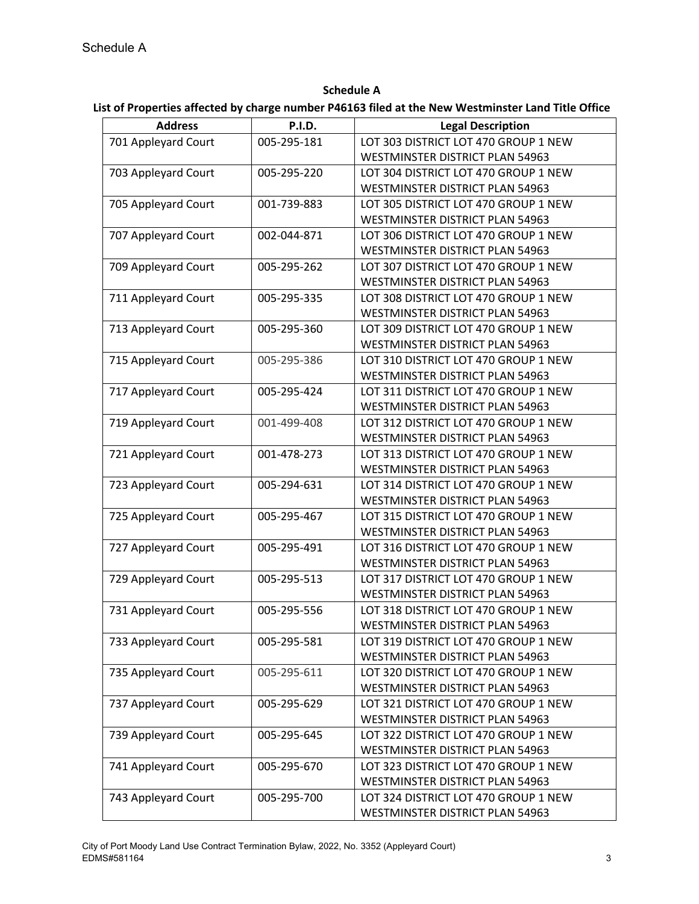**Schedule A**

#### **List of Properties affected by charge number P46163 filed at the New Westminster Land Title Office**

| <b>Address</b>      | <b>P.I.D.</b> | <b>Legal Description</b>               |
|---------------------|---------------|----------------------------------------|
| 701 Appleyard Court | 005-295-181   | LOT 303 DISTRICT LOT 470 GROUP 1 NEW   |
|                     |               | WESTMINSTER DISTRICT PLAN 54963        |
| 703 Appleyard Court | 005-295-220   | LOT 304 DISTRICT LOT 470 GROUP 1 NEW   |
|                     |               | WESTMINSTER DISTRICT PLAN 54963        |
| 705 Appleyard Court | 001-739-883   | LOT 305 DISTRICT LOT 470 GROUP 1 NEW   |
|                     |               | WESTMINSTER DISTRICT PLAN 54963        |
| 707 Appleyard Court | 002-044-871   | LOT 306 DISTRICT LOT 470 GROUP 1 NEW   |
|                     |               | WESTMINSTER DISTRICT PLAN 54963        |
| 709 Appleyard Court | 005-295-262   | LOT 307 DISTRICT LOT 470 GROUP 1 NEW   |
|                     |               | WESTMINSTER DISTRICT PLAN 54963        |
| 711 Appleyard Court | 005-295-335   | LOT 308 DISTRICT LOT 470 GROUP 1 NEW   |
|                     |               | <b>WESTMINSTER DISTRICT PLAN 54963</b> |
| 713 Appleyard Court | 005-295-360   | LOT 309 DISTRICT LOT 470 GROUP 1 NEW   |
|                     |               | WESTMINSTER DISTRICT PLAN 54963        |
| 715 Appleyard Court | 005-295-386   | LOT 310 DISTRICT LOT 470 GROUP 1 NEW   |
|                     |               | WESTMINSTER DISTRICT PLAN 54963        |
| 717 Appleyard Court | 005-295-424   | LOT 311 DISTRICT LOT 470 GROUP 1 NEW   |
|                     |               | WESTMINSTER DISTRICT PLAN 54963        |
| 719 Appleyard Court | 001-499-408   | LOT 312 DISTRICT LOT 470 GROUP 1 NEW   |
|                     |               | <b>WESTMINSTER DISTRICT PLAN 54963</b> |
| 721 Appleyard Court | 001-478-273   | LOT 313 DISTRICT LOT 470 GROUP 1 NEW   |
|                     |               | WESTMINSTER DISTRICT PLAN 54963        |
| 723 Appleyard Court | 005-294-631   | LOT 314 DISTRICT LOT 470 GROUP 1 NEW   |
|                     |               | WESTMINSTER DISTRICT PLAN 54963        |
| 725 Appleyard Court | 005-295-467   | LOT 315 DISTRICT LOT 470 GROUP 1 NEW   |
|                     |               | WESTMINSTER DISTRICT PLAN 54963        |
| 727 Appleyard Court | 005-295-491   | LOT 316 DISTRICT LOT 470 GROUP 1 NEW   |
|                     |               | WESTMINSTER DISTRICT PLAN 54963        |
| 729 Appleyard Court | 005-295-513   | LOT 317 DISTRICT LOT 470 GROUP 1 NEW   |
|                     |               | <b>WESTMINSTER DISTRICT PLAN 54963</b> |
| 731 Appleyard Court | 005-295-556   | LOT 318 DISTRICT LOT 470 GROUP 1 NEW   |
|                     |               | WESTMINSTER DISTRICT PLAN 54963        |
| 733 Appleyard Court | 005-295-581   | LOT 319 DISTRICT LOT 470 GROUP 1 NEW   |
|                     |               | WESTMINSTER DISTRICT PLAN 54963        |
| 735 Appleyard Court | 005-295-611   | LOT 320 DISTRICT LOT 470 GROUP 1 NEW   |
|                     |               | WESTMINSTER DISTRICT PLAN 54963        |
| 737 Appleyard Court | 005-295-629   | LOT 321 DISTRICT LOT 470 GROUP 1 NEW   |
|                     |               | WESTMINSTER DISTRICT PLAN 54963        |
| 739 Appleyard Court | 005-295-645   | LOT 322 DISTRICT LOT 470 GROUP 1 NEW   |
|                     |               | <b>WESTMINSTER DISTRICT PLAN 54963</b> |
| 741 Appleyard Court | 005-295-670   | LOT 323 DISTRICT LOT 470 GROUP 1 NEW   |
|                     |               | WESTMINSTER DISTRICT PLAN 54963        |
| 743 Appleyard Court | 005-295-700   | LOT 324 DISTRICT LOT 470 GROUP 1 NEW   |
|                     |               | WESTMINSTER DISTRICT PLAN 54963        |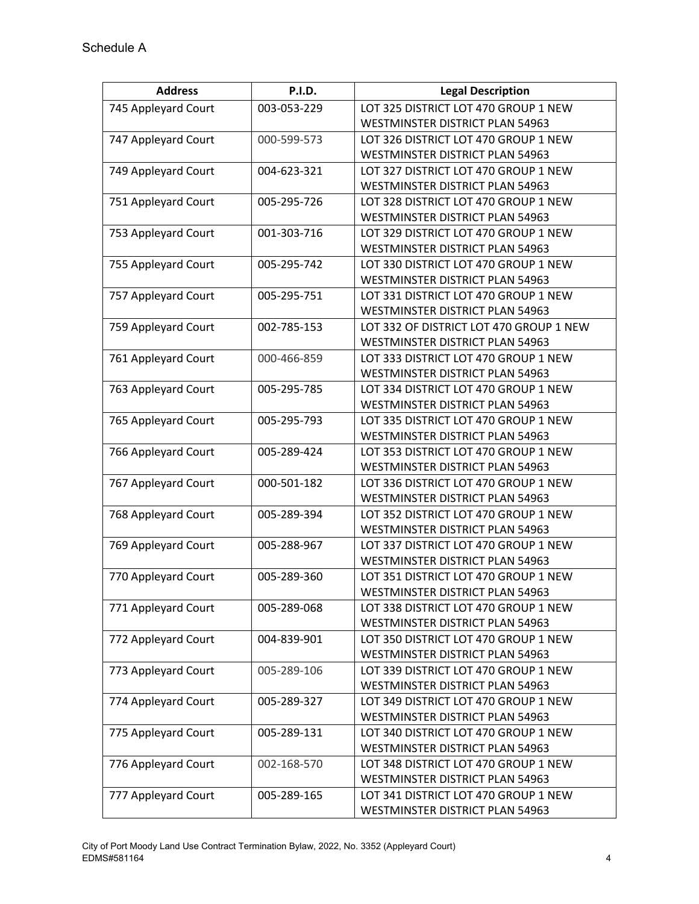| <b>Address</b>      | <b>P.I.D.</b> | <b>Legal Description</b>                                                |
|---------------------|---------------|-------------------------------------------------------------------------|
| 745 Appleyard Court | 003-053-229   | LOT 325 DISTRICT LOT 470 GROUP 1 NEW                                    |
|                     |               | WESTMINSTER DISTRICT PLAN 54963                                         |
| 747 Appleyard Court | 000-599-573   | LOT 326 DISTRICT LOT 470 GROUP 1 NEW                                    |
|                     |               | <b>WESTMINSTER DISTRICT PLAN 54963</b>                                  |
| 749 Appleyard Court | 004-623-321   | LOT 327 DISTRICT LOT 470 GROUP 1 NEW                                    |
|                     |               | WESTMINSTER DISTRICT PLAN 54963                                         |
| 751 Appleyard Court | 005-295-726   | LOT 328 DISTRICT LOT 470 GROUP 1 NEW                                    |
|                     |               | WESTMINSTER DISTRICT PLAN 54963                                         |
| 753 Appleyard Court | 001-303-716   | LOT 329 DISTRICT LOT 470 GROUP 1 NEW                                    |
|                     |               | WESTMINSTER DISTRICT PLAN 54963                                         |
| 755 Appleyard Court | 005-295-742   | LOT 330 DISTRICT LOT 470 GROUP 1 NEW                                    |
|                     |               | WESTMINSTER DISTRICT PLAN 54963                                         |
| 757 Appleyard Court | 005-295-751   | LOT 331 DISTRICT LOT 470 GROUP 1 NEW                                    |
|                     |               | WESTMINSTER DISTRICT PLAN 54963                                         |
| 759 Appleyard Court | 002-785-153   | LOT 332 OF DISTRICT LOT 470 GROUP 1 NEW                                 |
|                     |               | WESTMINSTER DISTRICT PLAN 54963                                         |
| 761 Appleyard Court | 000-466-859   | LOT 333 DISTRICT LOT 470 GROUP 1 NEW                                    |
|                     |               | WESTMINSTER DISTRICT PLAN 54963                                         |
| 763 Appleyard Court | 005-295-785   | LOT 334 DISTRICT LOT 470 GROUP 1 NEW                                    |
|                     |               | WESTMINSTER DISTRICT PLAN 54963                                         |
| 765 Appleyard Court | 005-295-793   | LOT 335 DISTRICT LOT 470 GROUP 1 NEW                                    |
|                     |               | WESTMINSTER DISTRICT PLAN 54963                                         |
| 766 Appleyard Court | 005-289-424   | LOT 353 DISTRICT LOT 470 GROUP 1 NEW<br>WESTMINSTER DISTRICT PLAN 54963 |
| 767 Appleyard Court | 000-501-182   | LOT 336 DISTRICT LOT 470 GROUP 1 NEW                                    |
|                     |               | WESTMINSTER DISTRICT PLAN 54963                                         |
| 768 Appleyard Court | 005-289-394   | LOT 352 DISTRICT LOT 470 GROUP 1 NEW                                    |
|                     |               | WESTMINSTER DISTRICT PLAN 54963                                         |
| 769 Appleyard Court | 005-288-967   | LOT 337 DISTRICT LOT 470 GROUP 1 NEW                                    |
|                     |               | WESTMINSTER DISTRICT PLAN 54963                                         |
| 770 Appleyard Court | 005-289-360   | LOT 351 DISTRICT LOT 470 GROUP 1 NEW                                    |
|                     |               | WESTMINSTER DISTRICT PLAN 54963                                         |
| 771 Appleyard Court | 005-289-068   | LOT 338 DISTRICT LOT 470 GROUP 1 NEW                                    |
|                     |               | WESTMINSTER DISTRICT PLAN 54963                                         |
| 772 Appleyard Court | 004-839-901   | LOT 350 DISTRICT LOT 470 GROUP 1 NEW                                    |
|                     |               | WESTMINSTER DISTRICT PLAN 54963                                         |
| 773 Appleyard Court | 005-289-106   | LOT 339 DISTRICT LOT 470 GROUP 1 NEW                                    |
|                     |               | WESTMINSTER DISTRICT PLAN 54963                                         |
| 774 Appleyard Court | 005-289-327   | LOT 349 DISTRICT LOT 470 GROUP 1 NEW                                    |
|                     |               | WESTMINSTER DISTRICT PLAN 54963                                         |
| 775 Appleyard Court | 005-289-131   | LOT 340 DISTRICT LOT 470 GROUP 1 NEW                                    |
|                     |               | WESTMINSTER DISTRICT PLAN 54963                                         |
| 776 Appleyard Court | 002-168-570   | LOT 348 DISTRICT LOT 470 GROUP 1 NEW                                    |
|                     |               | WESTMINSTER DISTRICT PLAN 54963                                         |
| 777 Appleyard Court | 005-289-165   | LOT 341 DISTRICT LOT 470 GROUP 1 NEW                                    |
|                     |               | WESTMINSTER DISTRICT PLAN 54963                                         |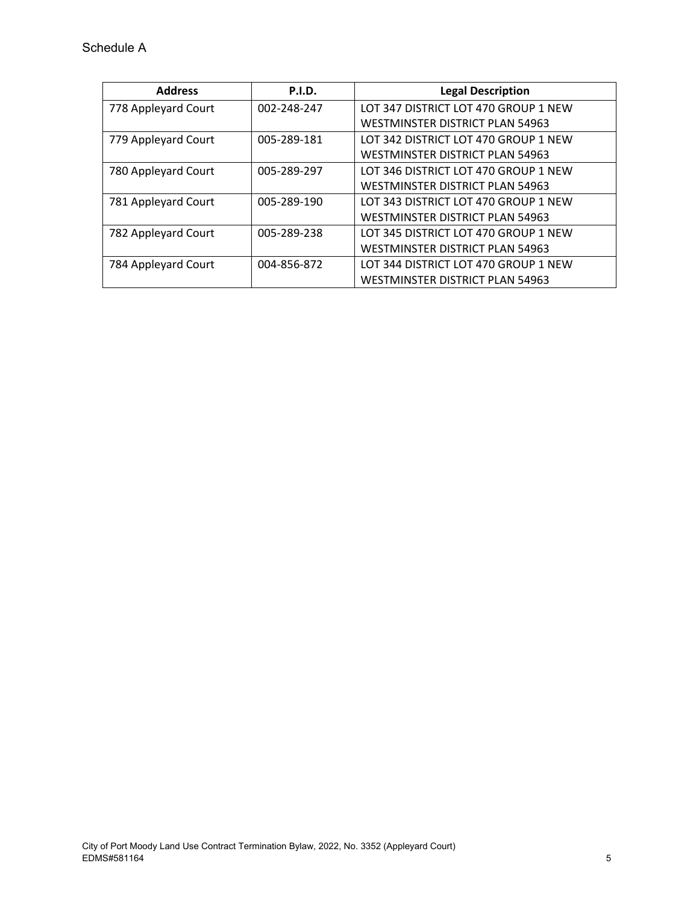| <b>Address</b>      | <b>P.I.D.</b> | <b>Legal Description</b>               |
|---------------------|---------------|----------------------------------------|
| 778 Appleyard Court | 002-248-247   | LOT 347 DISTRICT LOT 470 GROUP 1 NEW   |
|                     |               | WESTMINSTER DISTRICT PLAN 54963        |
| 779 Appleyard Court | 005-289-181   | LOT 342 DISTRICT LOT 470 GROUP 1 NEW   |
|                     |               | WESTMINSTER DISTRICT PLAN 54963        |
| 780 Appleyard Court | 005-289-297   | LOT 346 DISTRICT LOT 470 GROUP 1 NEW   |
|                     |               | <b>WESTMINSTER DISTRICT PLAN 54963</b> |
| 781 Appleyard Court | 005-289-190   | LOT 343 DISTRICT LOT 470 GROUP 1 NEW   |
|                     |               | WESTMINSTER DISTRICT PLAN 54963        |
| 782 Appleyard Court | 005-289-238   | LOT 345 DISTRICT LOT 470 GROUP 1 NEW   |
|                     |               | <b>WESTMINSTER DISTRICT PLAN 54963</b> |
| 784 Appleyard Court | 004-856-872   | LOT 344 DISTRICT LOT 470 GROUP 1 NEW   |
|                     |               | WESTMINSTER DISTRICT PLAN 54963        |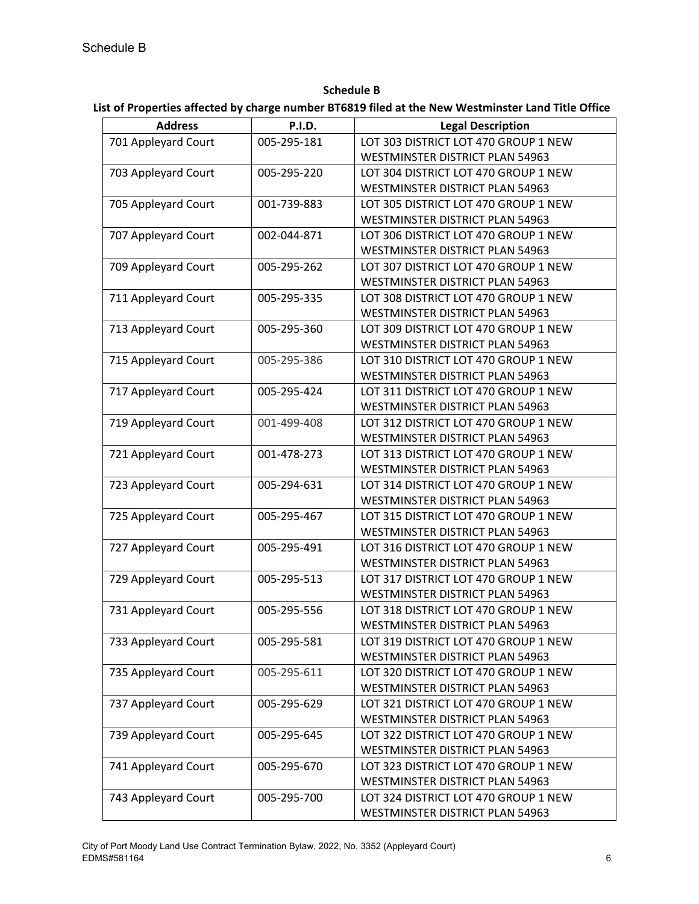**Schedule B List of Properties affected by charge number BT6819 filed at the New Westminster Land Title Office**

| <b>Address</b>      | <b>P.I.D.</b> | <b>Legal Description</b>               |
|---------------------|---------------|----------------------------------------|
| 701 Appleyard Court | 005-295-181   | LOT 303 DISTRICT LOT 470 GROUP 1 NEW   |
|                     |               | WESTMINSTER DISTRICT PLAN 54963        |
| 703 Appleyard Court | 005-295-220   | LOT 304 DISTRICT LOT 470 GROUP 1 NEW   |
|                     |               | WESTMINSTER DISTRICT PLAN 54963        |
| 705 Appleyard Court | 001-739-883   | LOT 305 DISTRICT LOT 470 GROUP 1 NEW   |
|                     |               | WESTMINSTER DISTRICT PLAN 54963        |
| 707 Appleyard Court | 002-044-871   | LOT 306 DISTRICT LOT 470 GROUP 1 NEW   |
|                     |               | WESTMINSTER DISTRICT PLAN 54963        |
| 709 Appleyard Court | 005-295-262   | LOT 307 DISTRICT LOT 470 GROUP 1 NEW   |
|                     |               | WESTMINSTER DISTRICT PLAN 54963        |
| 711 Appleyard Court | 005-295-335   | LOT 308 DISTRICT LOT 470 GROUP 1 NEW   |
|                     |               | WESTMINSTER DISTRICT PLAN 54963        |
| 713 Appleyard Court | 005-295-360   | LOT 309 DISTRICT LOT 470 GROUP 1 NEW   |
|                     |               | <b>WESTMINSTER DISTRICT PLAN 54963</b> |
| 715 Appleyard Court | 005-295-386   | LOT 310 DISTRICT LOT 470 GROUP 1 NEW   |
|                     |               | WESTMINSTER DISTRICT PLAN 54963        |
| 717 Appleyard Court | 005-295-424   | LOT 311 DISTRICT LOT 470 GROUP 1 NEW   |
|                     |               | WESTMINSTER DISTRICT PLAN 54963        |
| 719 Appleyard Court | 001-499-408   | LOT 312 DISTRICT LOT 470 GROUP 1 NEW   |
|                     |               | WESTMINSTER DISTRICT PLAN 54963        |
| 721 Appleyard Court | 001-478-273   | LOT 313 DISTRICT LOT 470 GROUP 1 NEW   |
|                     |               | WESTMINSTER DISTRICT PLAN 54963        |
| 723 Appleyard Court | 005-294-631   | LOT 314 DISTRICT LOT 470 GROUP 1 NEW   |
|                     |               | WESTMINSTER DISTRICT PLAN 54963        |
| 725 Appleyard Court | 005-295-467   | LOT 315 DISTRICT LOT 470 GROUP 1 NEW   |
|                     |               | WESTMINSTER DISTRICT PLAN 54963        |
| 727 Appleyard Court | 005-295-491   | LOT 316 DISTRICT LOT 470 GROUP 1 NEW   |
|                     |               | WESTMINSTER DISTRICT PLAN 54963        |
| 729 Appleyard Court | 005-295-513   | LOT 317 DISTRICT LOT 470 GROUP 1 NEW   |
|                     |               | WESTMINSTER DISTRICT PLAN 54963        |
| 731 Appleyard Court | 005-295-556   | LOT 318 DISTRICT LOT 470 GROUP 1 NEW   |
|                     |               | WESTMINSTER DISTRICT PLAN 54963        |
| 733 Appleyard Court | 005-295-581   | LOT 319 DISTRICT LOT 470 GROUP 1 NEW   |
|                     |               | WESTMINSTER DISTRICT PLAN 54963        |
| 735 Appleyard Court | 005-295-611   | LOT 320 DISTRICT LOT 470 GROUP 1 NEW   |
|                     |               | WESTMINSTER DISTRICT PLAN 54963        |
| 737 Appleyard Court | 005-295-629   | LOT 321 DISTRICT LOT 470 GROUP 1 NEW   |
|                     |               | WESTMINSTER DISTRICT PLAN 54963        |
| 739 Appleyard Court | 005-295-645   | LOT 322 DISTRICT LOT 470 GROUP 1 NEW   |
|                     |               | WESTMINSTER DISTRICT PLAN 54963        |
| 741 Appleyard Court | 005-295-670   | LOT 323 DISTRICT LOT 470 GROUP 1 NEW   |
|                     |               | WESTMINSTER DISTRICT PLAN 54963        |
| 743 Appleyard Court | 005-295-700   | LOT 324 DISTRICT LOT 470 GROUP 1 NEW   |
|                     |               | WESTMINSTER DISTRICT PLAN 54963        |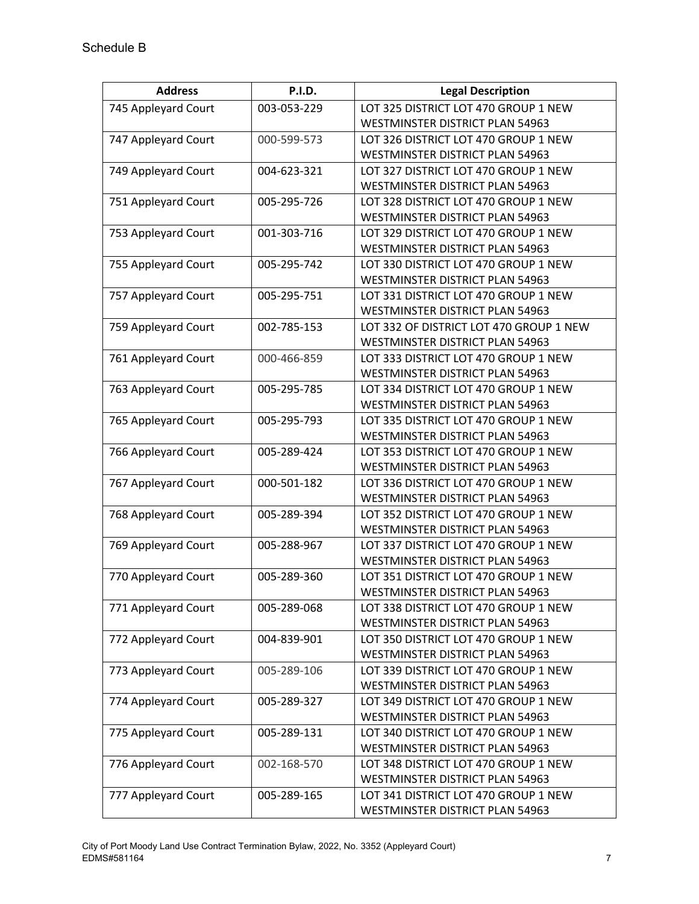| <b>Address</b>      | <b>P.I.D.</b> | <b>Legal Description</b>                                                |
|---------------------|---------------|-------------------------------------------------------------------------|
| 745 Appleyard Court | 003-053-229   | LOT 325 DISTRICT LOT 470 GROUP 1 NEW                                    |
|                     |               | WESTMINSTER DISTRICT PLAN 54963                                         |
| 747 Appleyard Court | 000-599-573   | LOT 326 DISTRICT LOT 470 GROUP 1 NEW                                    |
|                     |               | <b>WESTMINSTER DISTRICT PLAN 54963</b>                                  |
| 749 Appleyard Court | 004-623-321   | LOT 327 DISTRICT LOT 470 GROUP 1 NEW                                    |
|                     |               | WESTMINSTER DISTRICT PLAN 54963                                         |
| 751 Appleyard Court | 005-295-726   | LOT 328 DISTRICT LOT 470 GROUP 1 NEW                                    |
|                     |               | WESTMINSTER DISTRICT PLAN 54963                                         |
| 753 Appleyard Court | 001-303-716   | LOT 329 DISTRICT LOT 470 GROUP 1 NEW                                    |
|                     |               | WESTMINSTER DISTRICT PLAN 54963                                         |
| 755 Appleyard Court | 005-295-742   | LOT 330 DISTRICT LOT 470 GROUP 1 NEW                                    |
|                     |               | WESTMINSTER DISTRICT PLAN 54963                                         |
| 757 Appleyard Court | 005-295-751   | LOT 331 DISTRICT LOT 470 GROUP 1 NEW                                    |
|                     |               | WESTMINSTER DISTRICT PLAN 54963                                         |
| 759 Appleyard Court | 002-785-153   | LOT 332 OF DISTRICT LOT 470 GROUP 1 NEW                                 |
|                     |               | WESTMINSTER DISTRICT PLAN 54963                                         |
| 761 Appleyard Court | 000-466-859   | LOT 333 DISTRICT LOT 470 GROUP 1 NEW                                    |
|                     |               | WESTMINSTER DISTRICT PLAN 54963                                         |
| 763 Appleyard Court | 005-295-785   | LOT 334 DISTRICT LOT 470 GROUP 1 NEW                                    |
|                     |               | WESTMINSTER DISTRICT PLAN 54963                                         |
| 765 Appleyard Court | 005-295-793   | LOT 335 DISTRICT LOT 470 GROUP 1 NEW                                    |
|                     |               | WESTMINSTER DISTRICT PLAN 54963                                         |
| 766 Appleyard Court | 005-289-424   | LOT 353 DISTRICT LOT 470 GROUP 1 NEW<br>WESTMINSTER DISTRICT PLAN 54963 |
| 767 Appleyard Court | 000-501-182   | LOT 336 DISTRICT LOT 470 GROUP 1 NEW                                    |
|                     |               | WESTMINSTER DISTRICT PLAN 54963                                         |
| 768 Appleyard Court | 005-289-394   | LOT 352 DISTRICT LOT 470 GROUP 1 NEW                                    |
|                     |               | WESTMINSTER DISTRICT PLAN 54963                                         |
| 769 Appleyard Court | 005-288-967   | LOT 337 DISTRICT LOT 470 GROUP 1 NEW                                    |
|                     |               | WESTMINSTER DISTRICT PLAN 54963                                         |
| 770 Appleyard Court | 005-289-360   | LOT 351 DISTRICT LOT 470 GROUP 1 NEW                                    |
|                     |               | WESTMINSTER DISTRICT PLAN 54963                                         |
| 771 Appleyard Court | 005-289-068   | LOT 338 DISTRICT LOT 470 GROUP 1 NEW                                    |
|                     |               | WESTMINSTER DISTRICT PLAN 54963                                         |
| 772 Appleyard Court | 004-839-901   | LOT 350 DISTRICT LOT 470 GROUP 1 NEW                                    |
|                     |               | WESTMINSTER DISTRICT PLAN 54963                                         |
| 773 Appleyard Court | 005-289-106   | LOT 339 DISTRICT LOT 470 GROUP 1 NEW                                    |
|                     |               | WESTMINSTER DISTRICT PLAN 54963                                         |
| 774 Appleyard Court | 005-289-327   | LOT 349 DISTRICT LOT 470 GROUP 1 NEW                                    |
|                     |               | WESTMINSTER DISTRICT PLAN 54963                                         |
| 775 Appleyard Court | 005-289-131   | LOT 340 DISTRICT LOT 470 GROUP 1 NEW                                    |
|                     |               | WESTMINSTER DISTRICT PLAN 54963                                         |
| 776 Appleyard Court | 002-168-570   | LOT 348 DISTRICT LOT 470 GROUP 1 NEW                                    |
|                     |               | WESTMINSTER DISTRICT PLAN 54963                                         |
| 777 Appleyard Court | 005-289-165   | LOT 341 DISTRICT LOT 470 GROUP 1 NEW                                    |
|                     |               | WESTMINSTER DISTRICT PLAN 54963                                         |